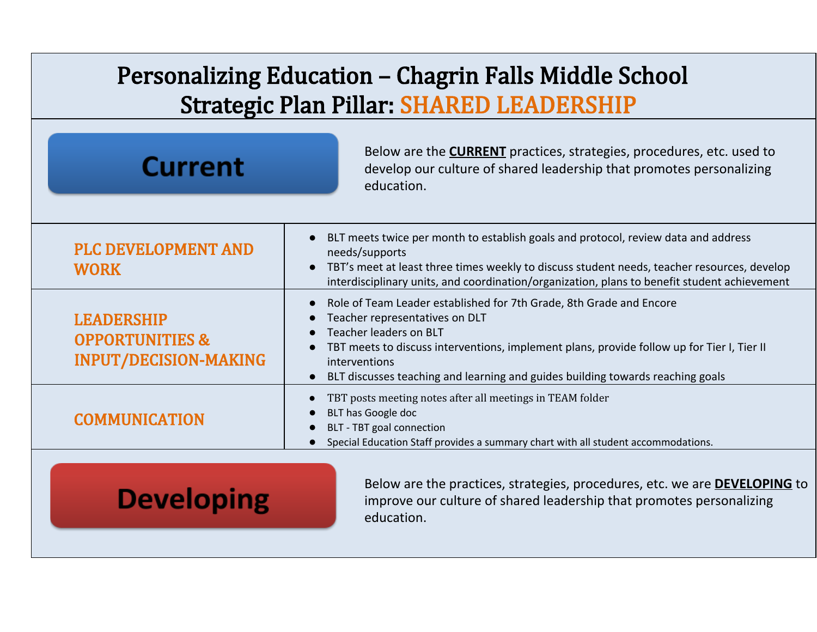## Personalizing Education – Chagrin Falls Middle School Strategic Plan Pillar: SHARED LEADERSHIP

| <b>Current</b>                                                                  | Below are the <b>CURRENT</b> practices, strategies, procedures, etc. used to<br>develop our culture of shared leadership that promotes personalizing<br>education.                                                                                                                                                               |
|---------------------------------------------------------------------------------|----------------------------------------------------------------------------------------------------------------------------------------------------------------------------------------------------------------------------------------------------------------------------------------------------------------------------------|
| <b>PLC DEVELOPMENT AND</b><br><b>WORK</b>                                       | BLT meets twice per month to establish goals and protocol, review data and address<br>needs/supports<br>TBT's meet at least three times weekly to discuss student needs, teacher resources, develop<br>$\bullet$<br>interdisciplinary units, and coordination/organization, plans to benefit student achievement                 |
| <b>LEADERSHIP</b><br><b>OPPORTUNITIES &amp;</b><br><b>INPUT/DECISION-MAKING</b> | Role of Team Leader established for 7th Grade, 8th Grade and Encore<br>Teacher representatives on DLT<br>Teacher leaders on BLT<br>TBT meets to discuss interventions, implement plans, provide follow up for Tier I, Tier II<br>interventions<br>BLT discusses teaching and learning and guides building towards reaching goals |
| <b>COMMUNICATION</b>                                                            | TBT posts meeting notes after all meetings in TEAM folder<br>BLT has Google doc<br>BLT - TBT goal connection<br>Special Education Staff provides a summary chart with all student accommodations.                                                                                                                                |
| <b>Developing</b>                                                               | Below are the practices, strategies, procedures, etc. we are <b>DEVELOPING</b> to<br>improve our culture of shared leadership that promotes personalizing<br>education.                                                                                                                                                          |